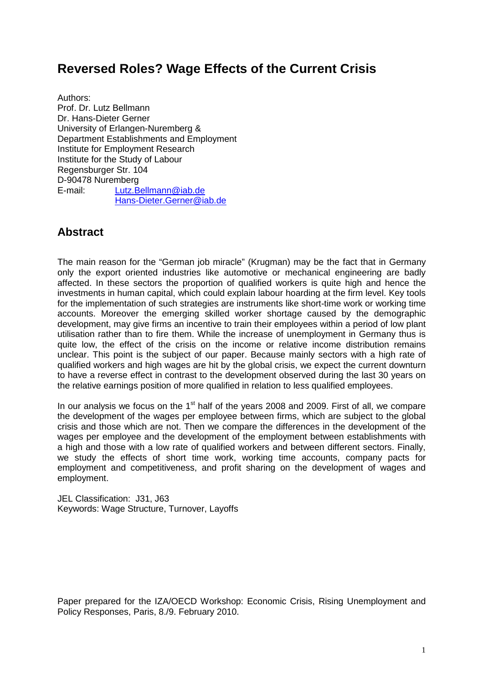# **Reversed Roles? Wage Effects of the Current Crisis**

Authors: Prof. Dr. Lutz Bellmann Dr. Hans-Dieter Gerner University of Erlangen-Nuremberg & Department Establishments and Employment Institute for Employment Research Institute for the Study of Labour Regensburger Str. 104 D-90478 Nuremberg E-mail: Lutz.Bellmann@iab.de Hans-Dieter.Gerner@iab.de

## **Abstract**

The main reason for the "German job miracle" (Krugman) may be the fact that in Germany only the export oriented industries like automotive or mechanical engineering are badly affected. In these sectors the proportion of qualified workers is quite high and hence the investments in human capital, which could explain labour hoarding at the firm level. Key tools for the implementation of such strategies are instruments like short-time work or working time accounts. Moreover the emerging skilled worker shortage caused by the demographic development, may give firms an incentive to train their employees within a period of low plant utilisation rather than to fire them. While the increase of unemployment in Germany thus is quite low, the effect of the crisis on the income or relative income distribution remains unclear. This point is the subject of our paper. Because mainly sectors with a high rate of qualified workers and high wages are hit by the global crisis, we expect the current downturn to have a reverse effect in contrast to the development observed during the last 30 years on the relative earnings position of more qualified in relation to less qualified employees.

In our analysis we focus on the  $1<sup>st</sup>$  half of the years 2008 and 2009. First of all, we compare the development of the wages per employee between firms, which are subject to the global crisis and those which are not. Then we compare the differences in the development of the wages per employee and the development of the employment between establishments with a high and those with a low rate of qualified workers and between different sectors. Finally, we study the effects of short time work, working time accounts, company pacts for employment and competitiveness, and profit sharing on the development of wages and employment.

JEL Classification: J31, J63 Keywords: Wage Structure, Turnover, Layoffs

Paper prepared for the IZA/OECD Workshop: Economic Crisis, Rising Unemployment and Policy Responses, Paris, 8./9. February 2010.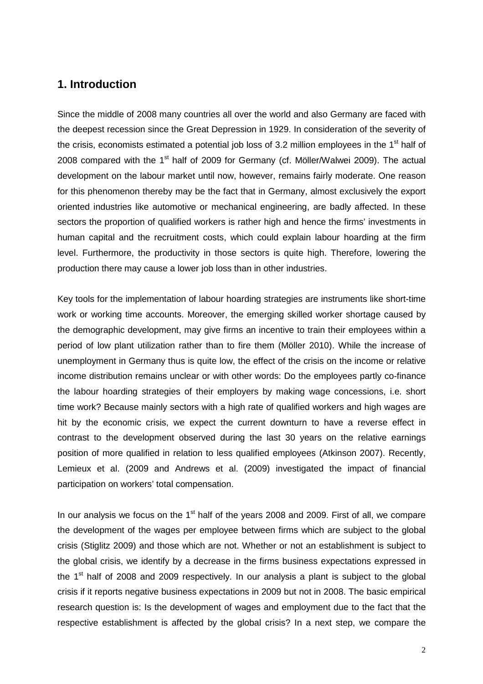## **1. Introduction**

Since the middle of 2008 many countries all over the world and also Germany are faced with the deepest recession since the Great Depression in 1929. In consideration of the severity of the crisis, economists estimated a potential job loss of 3.2 million employees in the  $1<sup>st</sup>$  half of 2008 compared with the 1<sup>st</sup> half of 2009 for Germany (cf. Möller/Walwei 2009). The actual development on the labour market until now, however, remains fairly moderate. One reason for this phenomenon thereby may be the fact that in Germany, almost exclusively the export oriented industries like automotive or mechanical engineering, are badly affected. In these sectors the proportion of qualified workers is rather high and hence the firms' investments in human capital and the recruitment costs, which could explain labour hoarding at the firm level. Furthermore, the productivity in those sectors is quite high. Therefore, lowering the production there may cause a lower job loss than in other industries.

Key tools for the implementation of labour hoarding strategies are instruments like short-time work or working time accounts. Moreover, the emerging skilled worker shortage caused by the demographic development, may give firms an incentive to train their employees within a period of low plant utilization rather than to fire them (Möller 2010). While the increase of unemployment in Germany thus is quite low, the effect of the crisis on the income or relative income distribution remains unclear or with other words: Do the employees partly co-finance the labour hoarding strategies of their employers by making wage concessions, i.e. short time work? Because mainly sectors with a high rate of qualified workers and high wages are hit by the economic crisis, we expect the current downturn to have a reverse effect in contrast to the development observed during the last 30 years on the relative earnings position of more qualified in relation to less qualified employees (Atkinson 2007). Recently, Lemieux et al. (2009 and Andrews et al. (2009) investigated the impact of financial participation on workers' total compensation.

In our analysis we focus on the  $1<sup>st</sup>$  half of the years 2008 and 2009. First of all, we compare the development of the wages per employee between firms which are subject to the global crisis (Stiglitz 2009) and those which are not. Whether or not an establishment is subject to the global crisis, we identify by a decrease in the firms business expectations expressed in the 1<sup>st</sup> half of 2008 and 2009 respectively. In our analysis a plant is subject to the global crisis if it reports negative business expectations in 2009 but not in 2008. The basic empirical research question is: Is the development of wages and employment due to the fact that the respective establishment is affected by the global crisis? In a next step, we compare the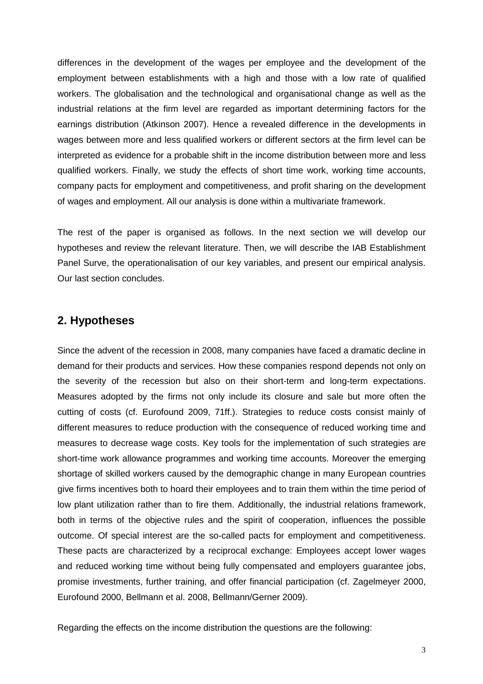differences in the development of the wages per employee and the development of the employment between establishments with a high and those with a low rate of qualified workers. The globalisation and the technological and organisational change as well as the industrial relations at the firm level are regarded as important determining factors for the earnings distribution (Atkinson 2007). Hence a revealed difference in the developments in wages between more and less qualified workers or different sectors at the firm level can be interpreted as evidence for a probable shift in the income distribution between more and less qualified workers. Finally, we study the effects of short time work, working time accounts, company pacts for employment and competitiveness, and profit sharing on the development of wages and employment. All our analysis is done within a multivariate framework.

The rest of the paper is organised as follows. In the next section we will develop our hypotheses and review the relevant literature. Then, we will describe the IAB Establishment Panel Surve, the operationalisation of our key variables, and present our empirical analysis. Our last section concludes.

## **2. Hypotheses**

Since the advent of the recession in 2008, many companies have faced a dramatic decline in demand for their products and services. How these companies respond depends not only on the severity of the recession but also on their short-term and long-term expectations. Measures adopted by the firms not only include its closure and sale but more often the cutting of costs (cf. Eurofound 2009, 71ff.). Strategies to reduce costs consist mainly of different measures to reduce production with the consequence of reduced working time and measures to decrease wage costs. Key tools for the implementation of such strategies are short-time work allowance programmes and working time accounts. Moreover the emerging shortage of skilled workers caused by the demographic change in many European countries give firms incentives both to hoard their employees and to train them within the time period of low plant utilization rather than to fire them. Additionally, the industrial relations framework, both in terms of the objective rules and the spirit of cooperation, influences the possible outcome. Of special interest are the so-called pacts for employment and competitiveness. These pacts are characterized by a reciprocal exchange: Employees accept lower wages and reduced working time without being fully compensated and employers guarantee jobs, promise investments, further training, and offer financial participation (cf. Zagelmeyer 2000, Eurofound 2000, Bellmann et al. 2008, Bellmann/Gerner 2009).

Regarding the effects on the income distribution the questions are the following: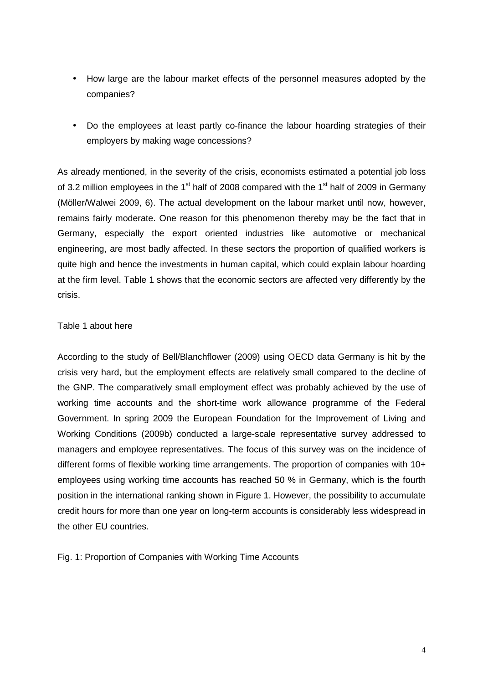- How large are the labour market effects of the personnel measures adopted by the companies?
- Do the employees at least partly co-finance the labour hoarding strategies of their employers by making wage concessions?

As already mentioned, in the severity of the crisis, economists estimated a potential job loss of 3.2 million employees in the 1<sup>st</sup> half of 2008 compared with the 1<sup>st</sup> half of 2009 in Germany (Möller/Walwei 2009, 6). The actual development on the labour market until now, however, remains fairly moderate. One reason for this phenomenon thereby may be the fact that in Germany, especially the export oriented industries like automotive or mechanical engineering, are most badly affected. In these sectors the proportion of qualified workers is quite high and hence the investments in human capital, which could explain labour hoarding at the firm level. Table 1 shows that the economic sectors are affected very differently by the crisis.

#### Table 1 about here

According to the study of Bell/Blanchflower (2009) using OECD data Germany is hit by the crisis very hard, but the employment effects are relatively small compared to the decline of the GNP. The comparatively small employment effect was probably achieved by the use of working time accounts and the short-time work allowance programme of the Federal Government. In spring 2009 the European Foundation for the Improvement of Living and Working Conditions (2009b) conducted a large-scale representative survey addressed to managers and employee representatives. The focus of this survey was on the incidence of different forms of flexible working time arrangements. The proportion of companies with 10+ employees using working time accounts has reached 50 % in Germany, which is the fourth position in the international ranking shown in Figure 1. However, the possibility to accumulate credit hours for more than one year on long-term accounts is considerably less widespread in the other EU countries.

Fig. 1: Proportion of Companies with Working Time Accounts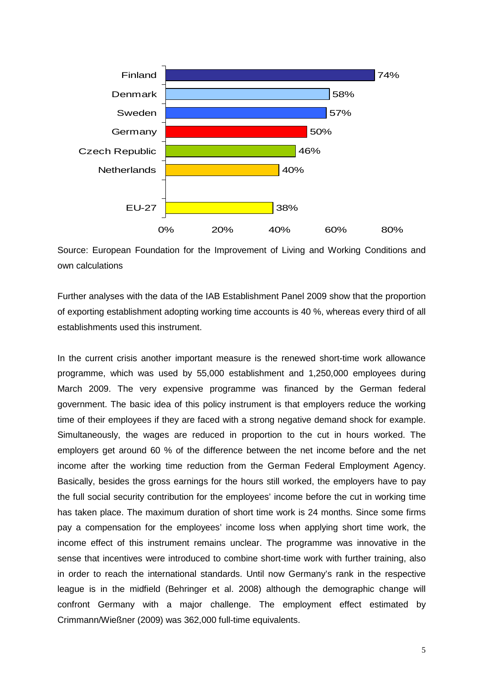

Source: European Foundation for the Improvement of Living and Working Conditions and own calculations

Further analyses with the data of the IAB Establishment Panel 2009 show that the proportion of exporting establishment adopting working time accounts is 40 %, whereas every third of all establishments used this instrument.

In the current crisis another important measure is the renewed short-time work allowance programme, which was used by 55,000 establishment and 1,250,000 employees during March 2009. The very expensive programme was financed by the German federal government. The basic idea of this policy instrument is that employers reduce the working time of their employees if they are faced with a strong negative demand shock for example. Simultaneously, the wages are reduced in proportion to the cut in hours worked. The employers get around 60 % of the difference between the net income before and the net income after the working time reduction from the German Federal Employment Agency. Basically, besides the gross earnings for the hours still worked, the employers have to pay the full social security contribution for the employees' income before the cut in working time has taken place. The maximum duration of short time work is 24 months. Since some firms pay a compensation for the employees' income loss when applying short time work, the income effect of this instrument remains unclear. The programme was innovative in the sense that incentives were introduced to combine short-time work with further training, also in order to reach the international standards. Until now Germany's rank in the respective league is in the midfield (Behringer et al. 2008) although the demographic change will confront Germany with a major challenge. The employment effect estimated by Crimmann/Wießner (2009) was 362,000 full-time equivalents.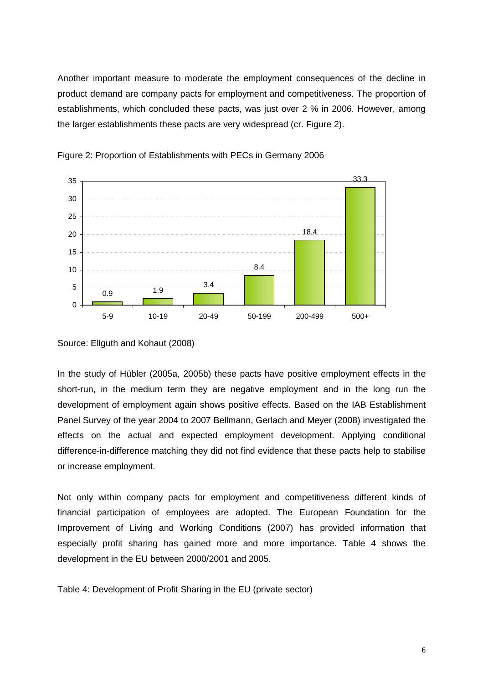Another important measure to moderate the employment consequences of the decline in product demand are company pacts for employment and competitiveness. The proportion of establishments, which concluded these pacts, was just over 2 % in 2006. However, among the larger establishments these pacts are very widespread (cr. Figure 2).





In the study of Hübler (2005a, 2005b) these pacts have positive employment effects in the short-run, in the medium term they are negative employment and in the long run the development of employment again shows positive effects. Based on the IAB Establishment Panel Survey of the year 2004 to 2007 Bellmann, Gerlach and Meyer (2008) investigated the effects on the actual and expected employment development. Applying conditional difference-in-difference matching they did not find evidence that these pacts help to stabilise or increase employment.

Not only within company pacts for employment and competitiveness different kinds of financial participation of employees are adopted. The European Foundation for the Improvement of Living and Working Conditions (2007) has provided information that especially profit sharing has gained more and more importance. Table 4 shows the development in the EU between 2000/2001 and 2005.

Table 4: Development of Profit Sharing in the EU (private sector)

Source: Ellguth and Kohaut (2008)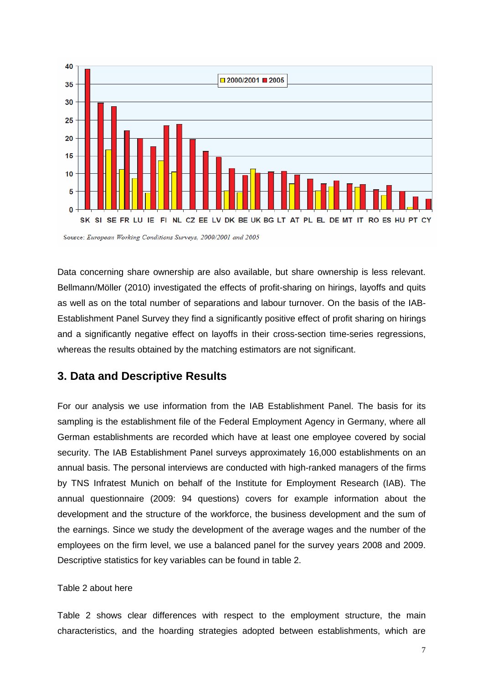

Source: European Working Conditions Surveys, 2000/2001 and 2005

Data concerning share ownership are also available, but share ownership is less relevant. Bellmann/Möller (2010) investigated the effects of profit-sharing on hirings, layoffs and quits as well as on the total number of separations and labour turnover. On the basis of the IAB-Establishment Panel Survey they find a significantly positive effect of profit sharing on hirings and a significantly negative effect on layoffs in their cross-section time-series regressions, whereas the results obtained by the matching estimators are not significant.

## **3. Data and Descriptive Results**

For our analysis we use information from the IAB Establishment Panel. The basis for its sampling is the establishment file of the Federal Employment Agency in Germany, where all German establishments are recorded which have at least one employee covered by social security. The IAB Establishment Panel surveys approximately 16,000 establishments on an annual basis. The personal interviews are conducted with high-ranked managers of the firms by TNS Infratest Munich on behalf of the Institute for Employment Research (IAB). The annual questionnaire (2009: 94 questions) covers for example information about the development and the structure of the workforce, the business development and the sum of the earnings. Since we study the development of the average wages and the number of the employees on the firm level, we use a balanced panel for the survey years 2008 and 2009. Descriptive statistics for key variables can be found in table 2.

#### Table 2 about here

Table 2 shows clear differences with respect to the employment structure, the main characteristics, and the hoarding strategies adopted between establishments, which are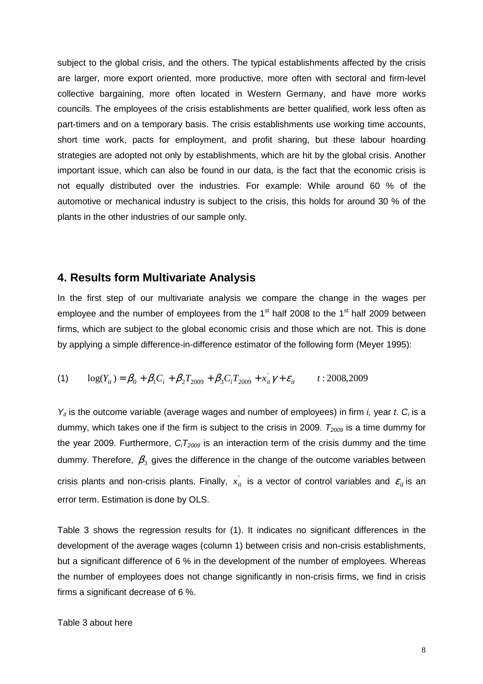subject to the global crisis, and the others. The typical establishments affected by the crisis are larger, more export oriented, more productive, more often with sectoral and firm-level collective bargaining, more often located in Western Germany, and have more works councils. The employees of the crisis establishments are better qualified, work less often as part-timers and on a temporary basis. The crisis establishments use working time accounts, short time work, pacts for employment, and profit sharing, but these labour hoarding strategies are adopted not only by establishments, which are hit by the global crisis. Another important issue, which can also be found in our data, is the fact that the economic crisis is not equally distributed over the industries. For example: While around 60 % of the automotive or mechanical industry is subject to the crisis, this holds for around 30 % of the plants in the other industries of our sample only.

#### **4. Results form Multivariate Analysis**

In the first step of our multivariate analysis we compare the change in the wages per employee and the number of employees from the  $1<sup>st</sup>$  half 2008 to the  $1<sup>st</sup>$  half 2009 between firms, which are subject to the global economic crisis and those which are not. This is done by applying a simple difference-in-difference estimator of the following form (Meyer 1995):

(1) 
$$
\log(Y_{it}) = \beta_0 + \beta_1 C_i + \beta_2 T_{2009} + \beta_3 C_i T_{2009} + x_{it}^{\prime} \gamma + \varepsilon_{it}
$$
 *t* : 2008,2009

 $Y_{it}$  is the outcome variable (average wages and number of employees) in firm *i*, year *t*.  $C_i$  is a dummy, which takes one if the firm is subject to the crisis in 2009.  $T_{2009}$  is a time dummy for the year 2009. Furthermore,  $C_iT_{2009}$  is an interaction term of the crisis dummy and the time dummy. Therefore,  $\,\beta_{\overline{3}}\,$  gives the difference in the change of the outcome variables between crisis plants and non-crisis plants. Finally,  $x_{it}^{'}$  is a vector of control variables and  $\varepsilon_{it}$  is an error term. Estimation is done by OLS.

Table 3 shows the regression results for (1). It indicates no significant differences in the development of the average wages (column 1) between crisis and non-crisis establishments, but a significant difference of 6 % in the development of the number of employees. Whereas the number of employees does not change significantly in non-crisis firms, we find in crisis firms a significant decrease of 6 %.

#### Table 3 about here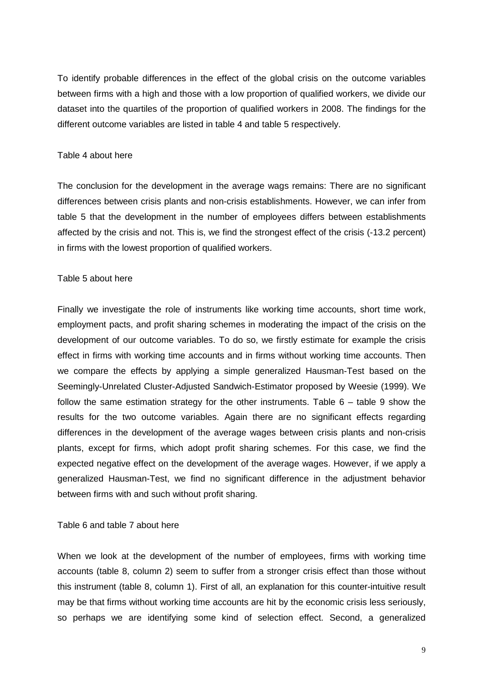To identify probable differences in the effect of the global crisis on the outcome variables between firms with a high and those with a low proportion of qualified workers, we divide our dataset into the quartiles of the proportion of qualified workers in 2008. The findings for the different outcome variables are listed in table 4 and table 5 respectively.

#### Table 4 about here

The conclusion for the development in the average wags remains: There are no significant differences between crisis plants and non-crisis establishments. However, we can infer from table 5 that the development in the number of employees differs between establishments affected by the crisis and not. This is, we find the strongest effect of the crisis (-13.2 percent) in firms with the lowest proportion of qualified workers.

#### Table 5 about here

Finally we investigate the role of instruments like working time accounts, short time work, employment pacts, and profit sharing schemes in moderating the impact of the crisis on the development of our outcome variables. To do so, we firstly estimate for example the crisis effect in firms with working time accounts and in firms without working time accounts. Then we compare the effects by applying a simple generalized Hausman-Test based on the Seemingly-Unrelated Cluster-Adjusted Sandwich-Estimator proposed by Weesie (1999). We follow the same estimation strategy for the other instruments. Table  $6 -$  table 9 show the results for the two outcome variables. Again there are no significant effects regarding differences in the development of the average wages between crisis plants and non-crisis plants, except for firms, which adopt profit sharing schemes. For this case, we find the expected negative effect on the development of the average wages. However, if we apply a generalized Hausman-Test, we find no significant difference in the adjustment behavior between firms with and such without profit sharing.

#### Table 6 and table 7 about here

When we look at the development of the number of employees, firms with working time accounts (table 8, column 2) seem to suffer from a stronger crisis effect than those without this instrument (table 8, column 1). First of all, an explanation for this counter-intuitive result may be that firms without working time accounts are hit by the economic crisis less seriously, so perhaps we are identifying some kind of selection effect. Second, a generalized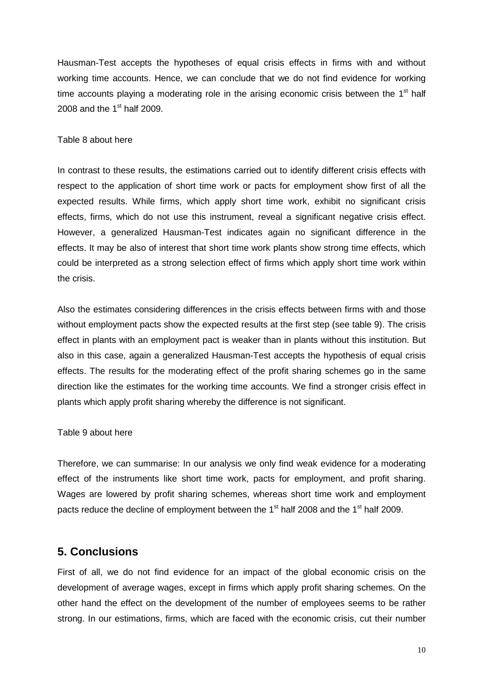Hausman-Test accepts the hypotheses of equal crisis effects in firms with and without working time accounts. Hence, we can conclude that we do not find evidence for working time accounts playing a moderating role in the arising economic crisis between the  $1<sup>st</sup>$  half 2008 and the  $1<sup>st</sup>$  half 2009.

#### Table 8 about here

In contrast to these results, the estimations carried out to identify different crisis effects with respect to the application of short time work or pacts for employment show first of all the expected results. While firms, which apply short time work, exhibit no significant crisis effects, firms, which do not use this instrument, reveal a significant negative crisis effect. However, a generalized Hausman-Test indicates again no significant difference in the effects. It may be also of interest that short time work plants show strong time effects, which could be interpreted as a strong selection effect of firms which apply short time work within the crisis.

Also the estimates considering differences in the crisis effects between firms with and those without employment pacts show the expected results at the first step (see table 9). The crisis effect in plants with an employment pact is weaker than in plants without this institution. But also in this case, again a generalized Hausman-Test accepts the hypothesis of equal crisis effects. The results for the moderating effect of the profit sharing schemes go in the same direction like the estimates for the working time accounts. We find a stronger crisis effect in plants which apply profit sharing whereby the difference is not significant.

#### Table 9 about here

Therefore, we can summarise: In our analysis we only find weak evidence for a moderating effect of the instruments like short time work, pacts for employment, and profit sharing. Wages are lowered by profit sharing schemes, whereas short time work and employment pacts reduce the decline of employment between the  $1<sup>st</sup>$  half 2008 and the  $1<sup>st</sup>$  half 2009.

## **5. Conclusions**

First of all, we do not find evidence for an impact of the global economic crisis on the development of average wages, except in firms which apply profit sharing schemes. On the other hand the effect on the development of the number of employees seems to be rather strong. In our estimations, firms, which are faced with the economic crisis, cut their number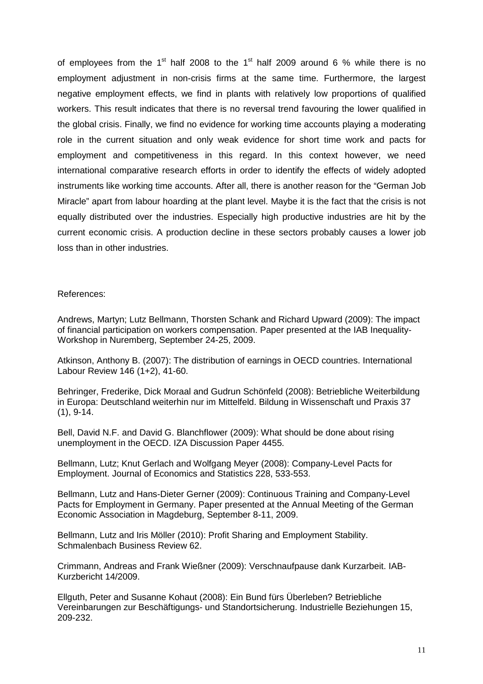of employees from the 1<sup>st</sup> half 2008 to the 1<sup>st</sup> half 2009 around 6 % while there is no employment adjustment in non-crisis firms at the same time. Furthermore, the largest negative employment effects, we find in plants with relatively low proportions of qualified workers. This result indicates that there is no reversal trend favouring the lower qualified in the global crisis. Finally, we find no evidence for working time accounts playing a moderating role in the current situation and only weak evidence for short time work and pacts for employment and competitiveness in this regard. In this context however, we need international comparative research efforts in order to identify the effects of widely adopted instruments like working time accounts. After all, there is another reason for the "German Job Miracle" apart from labour hoarding at the plant level. Maybe it is the fact that the crisis is not equally distributed over the industries. Especially high productive industries are hit by the current economic crisis. A production decline in these sectors probably causes a lower job loss than in other industries.

#### References:

Andrews, Martyn; Lutz Bellmann, Thorsten Schank and Richard Upward (2009): The impact of financial participation on workers compensation. Paper presented at the IAB Inequality-Workshop in Nuremberg, September 24-25, 2009.

Atkinson, Anthony B. (2007): The distribution of earnings in OECD countries. International Labour Review 146 (1+2), 41-60.

Behringer, Frederike, Dick Moraal and Gudrun Schönfeld (2008): Betriebliche Weiterbildung in Europa: Deutschland weiterhin nur im Mittelfeld. Bildung in Wissenschaft und Praxis 37 (1), 9-14.

Bell, David N.F. and David G. Blanchflower (2009): What should be done about rising unemployment in the OECD. IZA Discussion Paper 4455.

Bellmann, Lutz; Knut Gerlach and Wolfgang Meyer (2008): Company-Level Pacts for Employment. Journal of Economics and Statistics 228, 533-553.

Bellmann, Lutz and Hans-Dieter Gerner (2009): Continuous Training and Company-Level Pacts for Employment in Germany. Paper presented at the Annual Meeting of the German Economic Association in Magdeburg, September 8-11, 2009.

Bellmann, Lutz and Iris Möller (2010): Profit Sharing and Employment Stability. Schmalenbach Business Review 62.

Crimmann, Andreas and Frank Wießner (2009): Verschnaufpause dank Kurzarbeit. IAB-Kurzbericht 14/2009.

Ellguth, Peter and Susanne Kohaut (2008): Ein Bund fürs Überleben? Betriebliche Vereinbarungen zur Beschäftigungs- und Standortsicherung. Industrielle Beziehungen 15, 209-232.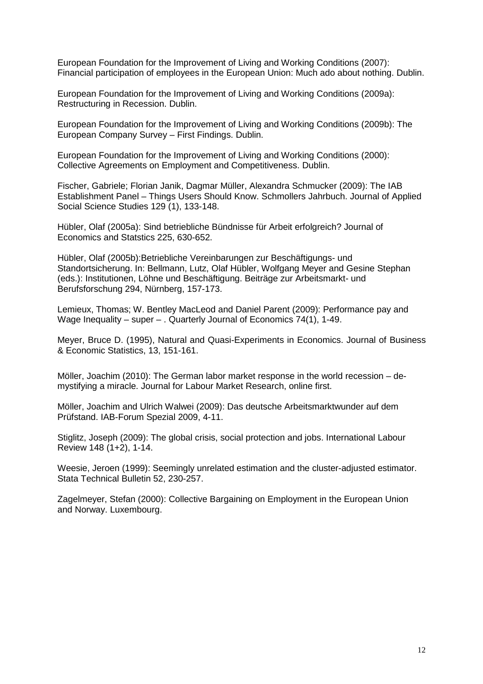European Foundation for the Improvement of Living and Working Conditions (2007): Financial participation of employees in the European Union: Much ado about nothing. Dublin.

European Foundation for the Improvement of Living and Working Conditions (2009a): Restructuring in Recession. Dublin.

European Foundation for the Improvement of Living and Working Conditions (2009b): The European Company Survey – First Findings. Dublin.

European Foundation for the Improvement of Living and Working Conditions (2000): Collective Agreements on Employment and Competitiveness. Dublin.

Fischer, Gabriele; Florian Janik, Dagmar Müller, Alexandra Schmucker (2009): The IAB Establishment Panel – Things Users Should Know. Schmollers Jahrbuch. Journal of Applied Social Science Studies 129 (1), 133-148.

Hübler, Olaf (2005a): Sind betriebliche Bündnisse für Arbeit erfolgreich? Journal of Economics and Statstics 225, 630-652.

Hübler, Olaf (2005b):Betriebliche Vereinbarungen zur Beschäftigungs- und Standortsicherung. In: Bellmann, Lutz, Olaf Hübler, Wolfgang Meyer and Gesine Stephan (eds.): Institutionen, Löhne und Beschäftigung. Beiträge zur Arbeitsmarkt- und Berufsforschung 294, Nürnberg, 157-173.

Lemieux, Thomas; W. Bentley MacLeod and Daniel Parent (2009): Performance pay and Wage Inequality – super – . Quarterly Journal of Economics 74(1), 1-49.

Meyer, Bruce D. (1995), Natural and Quasi-Experiments in Economics. Journal of Business & Economic Statistics, 13, 151-161.

Möller, Joachim (2010): The German labor market response in the world recession – demystifying a miracle. Journal for Labour Market Research, online first.

Möller, Joachim and Ulrich Walwei (2009): Das deutsche Arbeitsmarktwunder auf dem Prüfstand. IAB-Forum Spezial 2009, 4-11.

Stiglitz, Joseph (2009): The global crisis, social protection and jobs. International Labour Review 148 (1+2), 1-14.

Weesie, Jeroen (1999): Seemingly unrelated estimation and the cluster-adjusted estimator. Stata Technical Bulletin 52, 230-257.

Zagelmeyer, Stefan (2000): Collective Bargaining on Employment in the European Union and Norway. Luxembourg.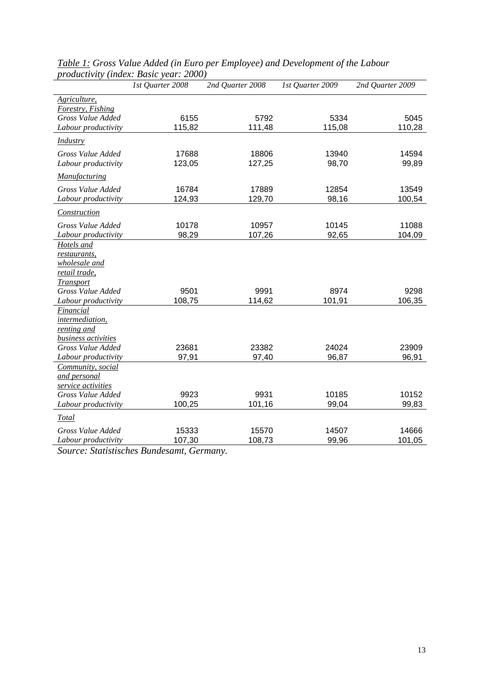| Agriculture,<br>Forestry, Fishing<br>Gross Value Added<br>6155<br>5792<br>5334<br>5045<br>115,82<br>111,48<br>115,08<br>110,28<br>Labour productivity<br><b>Industry</b><br>Gross Value Added<br>17688<br>18806<br>13940<br>14594<br>127,25<br>98,70<br>Labour productivity<br>123,05<br>99,89<br>Manufacturing<br>Gross Value Added<br>16784<br>17889<br>12854<br>13549<br>124,93<br>129,70<br>98,16<br>100,54<br>Labour productivity<br><b>Construction</b><br>Gross Value Added<br>10178<br>10957<br>10145<br>11088<br>98,29<br>107,26<br>92,65<br>104,09<br>Labour productivity<br>Hotels and<br>restaurants,<br>wholesale and<br>retail trade,<br>Transport<br>Gross Value Added<br>9501<br>9991<br>9298<br>8974<br>108,75<br>101,91<br>114,62<br>106,35<br>Labour productivity<br>Financial<br>intermediation,<br>renting and<br>business activities<br>Gross Value Added<br>23681<br>23382<br>24024<br>23909<br>Labour productivity<br>97,91<br>97,40<br>96,87<br>96,91<br>Community, social<br>and personal<br>service activities<br>9923<br>9931<br>10185<br>Gross Value Added<br>10152<br>100,25<br>101,16<br>99,04<br>99,83<br>Labour productivity<br><b>Total</b><br>Gross Value Added<br>15333<br>15570<br>14507<br>14666<br>107,30<br>108,73<br>99,96<br>101,05<br>Labour productivity | 1st Quarter 2008 | 2nd Quarter 2008 | 1st Quarter 2009 | 2nd Quarter 2009 |
|------------------------------------------------------------------------------------------------------------------------------------------------------------------------------------------------------------------------------------------------------------------------------------------------------------------------------------------------------------------------------------------------------------------------------------------------------------------------------------------------------------------------------------------------------------------------------------------------------------------------------------------------------------------------------------------------------------------------------------------------------------------------------------------------------------------------------------------------------------------------------------------------------------------------------------------------------------------------------------------------------------------------------------------------------------------------------------------------------------------------------------------------------------------------------------------------------------------------------------------------------------------------------------------------------|------------------|------------------|------------------|------------------|
|                                                                                                                                                                                                                                                                                                                                                                                                                                                                                                                                                                                                                                                                                                                                                                                                                                                                                                                                                                                                                                                                                                                                                                                                                                                                                                      |                  |                  |                  |                  |
|                                                                                                                                                                                                                                                                                                                                                                                                                                                                                                                                                                                                                                                                                                                                                                                                                                                                                                                                                                                                                                                                                                                                                                                                                                                                                                      |                  |                  |                  |                  |
|                                                                                                                                                                                                                                                                                                                                                                                                                                                                                                                                                                                                                                                                                                                                                                                                                                                                                                                                                                                                                                                                                                                                                                                                                                                                                                      |                  |                  |                  |                  |
|                                                                                                                                                                                                                                                                                                                                                                                                                                                                                                                                                                                                                                                                                                                                                                                                                                                                                                                                                                                                                                                                                                                                                                                                                                                                                                      |                  |                  |                  |                  |
|                                                                                                                                                                                                                                                                                                                                                                                                                                                                                                                                                                                                                                                                                                                                                                                                                                                                                                                                                                                                                                                                                                                                                                                                                                                                                                      |                  |                  |                  |                  |
|                                                                                                                                                                                                                                                                                                                                                                                                                                                                                                                                                                                                                                                                                                                                                                                                                                                                                                                                                                                                                                                                                                                                                                                                                                                                                                      |                  |                  |                  |                  |
|                                                                                                                                                                                                                                                                                                                                                                                                                                                                                                                                                                                                                                                                                                                                                                                                                                                                                                                                                                                                                                                                                                                                                                                                                                                                                                      |                  |                  |                  |                  |
|                                                                                                                                                                                                                                                                                                                                                                                                                                                                                                                                                                                                                                                                                                                                                                                                                                                                                                                                                                                                                                                                                                                                                                                                                                                                                                      |                  |                  |                  |                  |
|                                                                                                                                                                                                                                                                                                                                                                                                                                                                                                                                                                                                                                                                                                                                                                                                                                                                                                                                                                                                                                                                                                                                                                                                                                                                                                      |                  |                  |                  |                  |
|                                                                                                                                                                                                                                                                                                                                                                                                                                                                                                                                                                                                                                                                                                                                                                                                                                                                                                                                                                                                                                                                                                                                                                                                                                                                                                      |                  |                  |                  |                  |
|                                                                                                                                                                                                                                                                                                                                                                                                                                                                                                                                                                                                                                                                                                                                                                                                                                                                                                                                                                                                                                                                                                                                                                                                                                                                                                      |                  |                  |                  |                  |
|                                                                                                                                                                                                                                                                                                                                                                                                                                                                                                                                                                                                                                                                                                                                                                                                                                                                                                                                                                                                                                                                                                                                                                                                                                                                                                      |                  |                  |                  |                  |
|                                                                                                                                                                                                                                                                                                                                                                                                                                                                                                                                                                                                                                                                                                                                                                                                                                                                                                                                                                                                                                                                                                                                                                                                                                                                                                      |                  |                  |                  |                  |
|                                                                                                                                                                                                                                                                                                                                                                                                                                                                                                                                                                                                                                                                                                                                                                                                                                                                                                                                                                                                                                                                                                                                                                                                                                                                                                      |                  |                  |                  |                  |
|                                                                                                                                                                                                                                                                                                                                                                                                                                                                                                                                                                                                                                                                                                                                                                                                                                                                                                                                                                                                                                                                                                                                                                                                                                                                                                      |                  |                  |                  |                  |
|                                                                                                                                                                                                                                                                                                                                                                                                                                                                                                                                                                                                                                                                                                                                                                                                                                                                                                                                                                                                                                                                                                                                                                                                                                                                                                      |                  |                  |                  |                  |
|                                                                                                                                                                                                                                                                                                                                                                                                                                                                                                                                                                                                                                                                                                                                                                                                                                                                                                                                                                                                                                                                                                                                                                                                                                                                                                      |                  |                  |                  |                  |
|                                                                                                                                                                                                                                                                                                                                                                                                                                                                                                                                                                                                                                                                                                                                                                                                                                                                                                                                                                                                                                                                                                                                                                                                                                                                                                      |                  |                  |                  |                  |
|                                                                                                                                                                                                                                                                                                                                                                                                                                                                                                                                                                                                                                                                                                                                                                                                                                                                                                                                                                                                                                                                                                                                                                                                                                                                                                      |                  |                  |                  |                  |
|                                                                                                                                                                                                                                                                                                                                                                                                                                                                                                                                                                                                                                                                                                                                                                                                                                                                                                                                                                                                                                                                                                                                                                                                                                                                                                      |                  |                  |                  |                  |
|                                                                                                                                                                                                                                                                                                                                                                                                                                                                                                                                                                                                                                                                                                                                                                                                                                                                                                                                                                                                                                                                                                                                                                                                                                                                                                      |                  |                  |                  |                  |
|                                                                                                                                                                                                                                                                                                                                                                                                                                                                                                                                                                                                                                                                                                                                                                                                                                                                                                                                                                                                                                                                                                                                                                                                                                                                                                      |                  |                  |                  |                  |
|                                                                                                                                                                                                                                                                                                                                                                                                                                                                                                                                                                                                                                                                                                                                                                                                                                                                                                                                                                                                                                                                                                                                                                                                                                                                                                      |                  |                  |                  |                  |
|                                                                                                                                                                                                                                                                                                                                                                                                                                                                                                                                                                                                                                                                                                                                                                                                                                                                                                                                                                                                                                                                                                                                                                                                                                                                                                      |                  |                  |                  |                  |
|                                                                                                                                                                                                                                                                                                                                                                                                                                                                                                                                                                                                                                                                                                                                                                                                                                                                                                                                                                                                                                                                                                                                                                                                                                                                                                      |                  |                  |                  |                  |
|                                                                                                                                                                                                                                                                                                                                                                                                                                                                                                                                                                                                                                                                                                                                                                                                                                                                                                                                                                                                                                                                                                                                                                                                                                                                                                      |                  |                  |                  |                  |
|                                                                                                                                                                                                                                                                                                                                                                                                                                                                                                                                                                                                                                                                                                                                                                                                                                                                                                                                                                                                                                                                                                                                                                                                                                                                                                      |                  |                  |                  |                  |
|                                                                                                                                                                                                                                                                                                                                                                                                                                                                                                                                                                                                                                                                                                                                                                                                                                                                                                                                                                                                                                                                                                                                                                                                                                                                                                      |                  |                  |                  |                  |
|                                                                                                                                                                                                                                                                                                                                                                                                                                                                                                                                                                                                                                                                                                                                                                                                                                                                                                                                                                                                                                                                                                                                                                                                                                                                                                      |                  |                  |                  |                  |
|                                                                                                                                                                                                                                                                                                                                                                                                                                                                                                                                                                                                                                                                                                                                                                                                                                                                                                                                                                                                                                                                                                                                                                                                                                                                                                      |                  |                  |                  |                  |
|                                                                                                                                                                                                                                                                                                                                                                                                                                                                                                                                                                                                                                                                                                                                                                                                                                                                                                                                                                                                                                                                                                                                                                                                                                                                                                      |                  |                  |                  |                  |
|                                                                                                                                                                                                                                                                                                                                                                                                                                                                                                                                                                                                                                                                                                                                                                                                                                                                                                                                                                                                                                                                                                                                                                                                                                                                                                      |                  |                  |                  |                  |
|                                                                                                                                                                                                                                                                                                                                                                                                                                                                                                                                                                                                                                                                                                                                                                                                                                                                                                                                                                                                                                                                                                                                                                                                                                                                                                      |                  |                  |                  |                  |
|                                                                                                                                                                                                                                                                                                                                                                                                                                                                                                                                                                                                                                                                                                                                                                                                                                                                                                                                                                                                                                                                                                                                                                                                                                                                                                      |                  |                  |                  |                  |

*Table 1: Gross Value Added (in Euro per Employee) and Development of the Labour productivity (index: Basic year: 2000)* 

*Source: Statistisches Bundesamt, Germany.*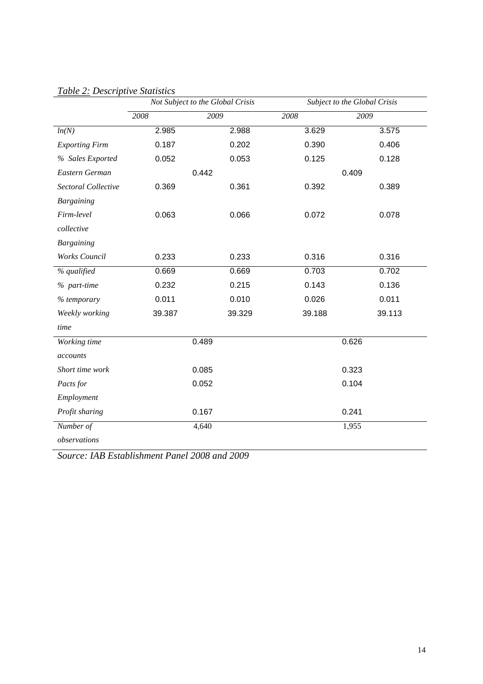|                       | Not Subject to the Global Crisis |        | Subject to the Global Crisis |        |
|-----------------------|----------------------------------|--------|------------------------------|--------|
|                       | 2008                             | 2009   | 2008                         | 2009   |
| ln(N)                 | 2.985                            | 2.988  | 3.629                        | 3.575  |
| <b>Exporting Firm</b> | 0.187                            | 0.202  | 0.390                        | 0.406  |
| % Sales Exported      | 0.052                            | 0.053  | 0.125                        | 0.128  |
| Eastern German        |                                  | 0.442  |                              | 0.409  |
| Sectoral Collective   | 0.369                            | 0.361  | 0.392                        | 0.389  |
| <b>Bargaining</b>     |                                  |        |                              |        |
| Firm-level            | 0.063                            | 0.066  | 0.072                        | 0.078  |
| collective            |                                  |        |                              |        |
| <b>Bargaining</b>     |                                  |        |                              |        |
| Works Council         | 0.233                            | 0.233  | 0.316                        | 0.316  |
| % qualified           | 0.669                            | 0.669  | 0.703                        | 0.702  |
| % part-time           | 0.232                            | 0.215  | 0.143                        | 0.136  |
| % temporary           | 0.011                            | 0.010  | 0.026                        | 0.011  |
| Weekly working        | 39.387                           | 39.329 | 39.188                       | 39.113 |
| time                  |                                  |        |                              |        |
| Working time          |                                  | 0.489  |                              | 0.626  |
| accounts              |                                  |        |                              |        |
| Short time work       |                                  | 0.085  | 0.323                        |        |
| Pacts for             | 0.052                            |        | 0.104                        |        |
| Employment            |                                  |        |                              |        |
| Profit sharing        | 0.167                            |        | 0.241                        |        |
| Number of             |                                  | 4,640  |                              | 1,955  |
| observations          |                                  |        |                              |        |

## *Table 2: Descriptive Statistics*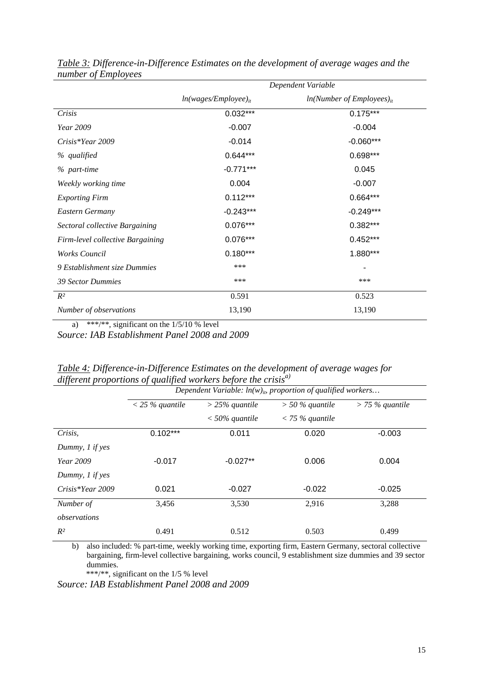|                                  | Dependent Variable        |                                         |  |
|----------------------------------|---------------------------|-----------------------------------------|--|
|                                  | $ln(wages/Employee)_{it}$ | $ln(Number$ of Employees) <sub>it</sub> |  |
| Crisis                           | $0.032***$                | $0.175***$                              |  |
| <i>Year</i> 2009                 | $-0.007$                  | $-0.004$                                |  |
| $Crisis*Year 2009$               | $-0.014$                  | $-0.060***$                             |  |
| % qualified                      | $0.644***$                | 0.698***                                |  |
| % part-time                      | $-0.771***$               | 0.045                                   |  |
| Weekly working time              | 0.004                     | $-0.007$                                |  |
| <b>Exporting Firm</b>            | $0.112***$                | $0.664***$                              |  |
| Eastern Germany                  | $-0.243***$               | $-0.249***$                             |  |
| Sectoral collective Bargaining   | $0.076***$                | $0.382***$                              |  |
| Firm-level collective Bargaining | $0.076***$                | $0.452***$                              |  |
| Works Council                    | $0.180***$                | 1.880***                                |  |
| 9 Establishment size Dummies     | ***                       |                                         |  |
| <b>39 Sector Dummies</b>         | ***                       | ***                                     |  |
| $R^2$                            | 0.591                     | 0.523                                   |  |
| Number of observations           | 13,190                    | 13,190                                  |  |

*Table 3: Difference-in-Difference Estimates on the development of average wages and the number of Employees* 

a) \*\*\*/\*\*, significant on the  $1/5/10$  % level

*Source: IAB Establishment Panel 2008 and 2009* 

|                    | Dependent Variable: $ln(w)_{ib}$ proportion of qualified workers |                  |                   |                   |
|--------------------|------------------------------------------------------------------|------------------|-------------------|-------------------|
|                    | $<$ 25 % quantile                                                | $>$ 25% quantile | $>$ 50 % quantile | $>$ 75 % quantile |
|                    |                                                                  | $<$ 50% quantile | $<$ 75 % quantile |                   |
| Crisis,            | $0.102***$                                                       | 0.011            | 0.020             | $-0.003$          |
| Dummy, 1 if yes    |                                                                  |                  |                   |                   |
| Year 2009          | $-0.017$                                                         | $-0.027**$       | 0.006             | 0.004             |
| Dummy, 1 if yes    |                                                                  |                  |                   |                   |
| $Crisis*Year 2009$ | 0.021                                                            | $-0.027$         | $-0.022$          | $-0.025$          |
| Number of          | 3,456                                                            | 3,530            | 2,916             | 3,288             |
| observations       |                                                                  |                  |                   |                   |
| $R^2$              | 0.491                                                            | 0.512            | 0.503             | 0.499             |

| Table 4: Difference-in-Difference Estimates on the development of average wages for |  |
|-------------------------------------------------------------------------------------|--|
| different proportions of qualified workers before the crisis $^{a}$                 |  |

b) also included: % part-time, weekly working time, exporting firm, Eastern Germany, sectoral collective bargaining, firm-level collective bargaining, works council, 9 establishment size dummies and 39 sector dummies.

\*\*\*/\*\*, significant on the 1/5 % level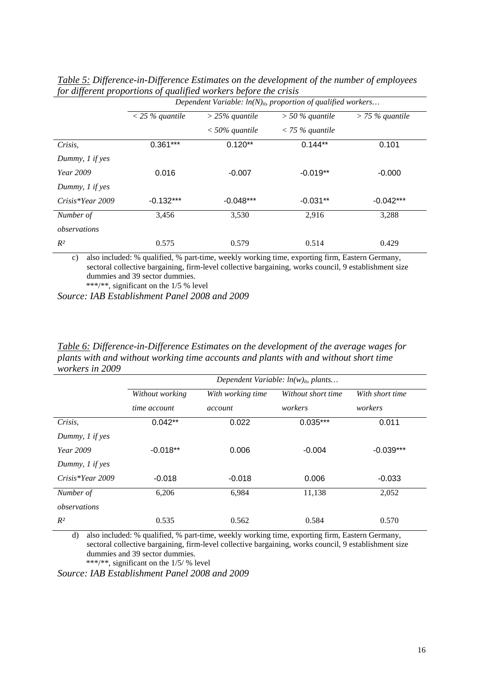| $J^{\circ}$ . $\ldots$ $J^{\circ}$ . $\circ$ | of guarantee workers object me or was<br>Dependent Variable: $ln(N)_{ib}$ proportion of qualified workers |                  |                   |                   |
|----------------------------------------------|-----------------------------------------------------------------------------------------------------------|------------------|-------------------|-------------------|
|                                              | $<$ 25 % quantile                                                                                         | $>$ 25% quantile | $>$ 50 % quantile | $>$ 75 % quantile |
|                                              |                                                                                                           | $<$ 50% quantile | $<$ 75 % quantile |                   |
| Crisis,                                      | $0.361***$                                                                                                | $0.120**$        | $0.144**$         | 0.101             |
| Dummy, 1 if yes                              |                                                                                                           |                  |                   |                   |
| <i>Year</i> 2009                             | 0.016                                                                                                     | $-0.007$         | $-0.019**$        | $-0.000$          |
| Dummy, 1 if yes                              |                                                                                                           |                  |                   |                   |
| Crisis*Year 2009                             | $-0.132***$                                                                                               | $-0.048***$      | $-0.031**$        | $-0.042***$       |
| Number of                                    | 3,456                                                                                                     | 3,530            | 2,916             | 3,288             |
| observations                                 |                                                                                                           |                  |                   |                   |
| $R^2$                                        | 0.575                                                                                                     | 0.579            | 0.514             | 0.429             |

*Table 5: Difference-in-Difference Estimates on the development of the number of employees for different proportions of qualified workers before the crisis* 

c) also included: % qualified, % part-time, weekly working time, exporting firm, Eastern Germany, sectoral collective bargaining, firm-level collective bargaining, works council, 9 establishment size dummies and 39 sector dummies.

\*\*\*/\*\*, significant on the 1/5 % level

*Source: IAB Establishment Panel 2008 and 2009* 

*Table 6: Difference-in-Difference Estimates on the development of the average wages for plants with and without working time accounts and plants with and without short time workers in 2009* 

|                    | Dependent Variable: $ln(w)_{ib}$ plants |                   |                    |                 |
|--------------------|-----------------------------------------|-------------------|--------------------|-----------------|
|                    | Without working                         | With working time | Without short time | With short time |
|                    | time account                            | account           | workers            | workers         |
| Crisis,            | $0.042**$                               | 0.022             | $0.035***$         | 0.011           |
| Dummy, $1$ if yes  |                                         |                   |                    |                 |
| Year 2009          | $-0.018**$                              | 0.006             | $-0.004$           | $-0.039***$     |
| Dummy, 1 if yes    |                                         |                   |                    |                 |
| $Crisis*Year 2009$ | $-0.018$                                | $-0.018$          | 0.006              | $-0.033$        |
| Number of          | 6,206                                   | 6,984             | 11,138             | 2,052           |
| observations       |                                         |                   |                    |                 |
| $R^2$              | 0.535                                   | 0.562             | 0.584              | 0.570           |

d) also included: % qualified, % part-time, weekly working time, exporting firm, Eastern Germany, sectoral collective bargaining, firm-level collective bargaining, works council, 9 establishment size dummies and 39 sector dummies.

\*\*\*/\*\*, significant on the 1/5/ % level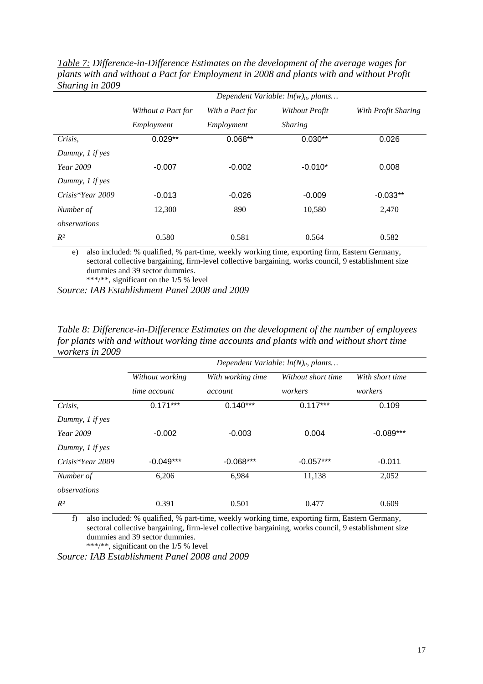| ັ                  | Dependent Variable: $ln(w)_{ib}$ plants |                 |                |                     |
|--------------------|-----------------------------------------|-----------------|----------------|---------------------|
|                    | Without a Pact for                      | With a Pact for | Without Profit | With Profit Sharing |
|                    | Employment                              | Employment      | <b>Sharing</b> |                     |
| Crisis,            | $0.029**$                               | $0.068**$       | $0.030**$      | 0.026               |
| Dummy, $1$ if yes  |                                         |                 |                |                     |
| <i>Year</i> 2009   | $-0.007$                                | $-0.002$        | $-0.010*$      | 0.008               |
| Dummy, 1 if yes    |                                         |                 |                |                     |
| $Crisis*Year 2009$ | $-0.013$                                | $-0.026$        | $-0.009$       | $-0.033**$          |
| Number of          | 12,300                                  | 890             | 10,580         | 2,470               |
| observations       |                                         |                 |                |                     |
| $R^2$              | 0.580                                   | 0.581           | 0.564          | 0.582               |

*Table 7: Difference-in-Difference Estimates on the development of the average wages for plants with and without a Pact for Employment in 2008 and plants with and without Profit Sharing in 2009* 

e) also included: % qualified, % part-time, weekly working time, exporting firm, Eastern Germany, sectoral collective bargaining, firm-level collective bargaining, works council, 9 establishment size dummies and 39 sector dummies.

\*\*\*/\*\*, significant on the 1/5 % level

*Source: IAB Establishment Panel 2008 and 2009* 

*Table 8: Difference-in-Difference Estimates on the development of the number of employees for plants with and without working time accounts and plants with and without short time workers in 2009* 

|                    | Dependent Variable: $ln(N)_{ip}$ plants |                   |                    |                 |
|--------------------|-----------------------------------------|-------------------|--------------------|-----------------|
|                    | Without working                         | With working time | Without short time | With short time |
|                    | time account                            | account           | workers            | workers         |
| Crisis,            | $0.171***$                              | $0.140***$        | $0.117***$         | 0.109           |
| Dummy, 1 if yes    |                                         |                   |                    |                 |
| <i>Year</i> 2009   | $-0.002$                                | $-0.003$          | 0.004              | $-0.089***$     |
| Dummy, 1 if yes    |                                         |                   |                    |                 |
| $Crisis*Year 2009$ | $-0.049***$                             | $-0.068***$       | $-0.057***$        | $-0.011$        |
| Number of          | 6,206                                   | 6,984             | 11,138             | 2,052           |
| observations       |                                         |                   |                    |                 |
| $R^2$              | 0.391                                   | 0.501             | 0.477              | 0.609           |

f) also included: % qualified, % part-time, weekly working time, exporting firm, Eastern Germany, sectoral collective bargaining, firm-level collective bargaining, works council, 9 establishment size dummies and 39 sector dummies.

\*\*\*/\*\*, significant on the 1/5 % level